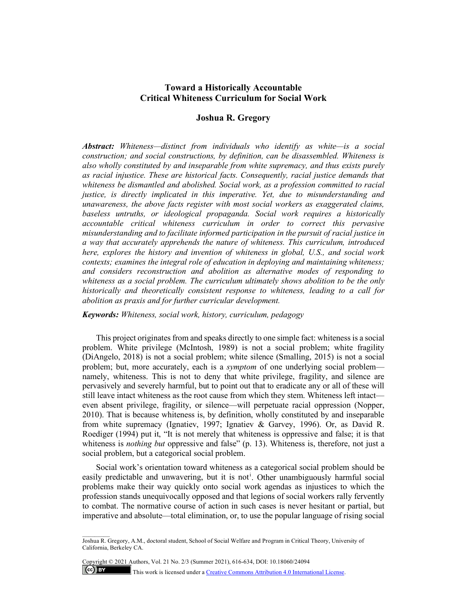# **Toward a Historically Accountable Critical Whiteness Curriculum for Social Work**

# **Joshua R. Gregory**

*Abstract: Whiteness—distinct from individuals who identify as white—is a social construction; and social constructions, by definition, can be disassembled. Whiteness is also wholly constituted by and inseparable from white supremacy, and thus exists purely as racial injustice. These are historical facts. Consequently, racial justice demands that whiteness be dismantled and abolished. Social work, as a profession committed to racial justice, is directly implicated in this imperative. Yet, due to misunderstanding and unawareness, the above facts register with most social workers as exaggerated claims, baseless untruths, or ideological propaganda. Social work requires a historically accountable critical whiteness curriculum in order to correct this pervasive misunderstanding and to facilitate informed participation in the pursuit of racial justice in a way that accurately apprehends the nature of whiteness. This curriculum, introduced here, explores the history and invention of whiteness in global, U.S., and social work contexts; examines the integral role of education in deploying and maintaining whiteness; and considers reconstruction and abolition as alternative modes of responding to whiteness as a social problem. The curriculum ultimately shows abolition to be the only historically and theoretically consistent response to whiteness, leading to a call for abolition as praxis and for further curricular development.*

*Keywords: Whiteness, social work, history, curriculum, pedagogy*

This project originates from and speaks directly to one simple fact: whiteness is a social problem. White privilege (McIntosh, 1989) is not a social problem; white fragility (DiAngelo, 2018) is not a social problem; white silence (Smalling, 2015) is not a social problem; but, more accurately, each is a *symptom* of one underlying social problem namely, whiteness. This is not to deny that white privilege, fragility, and silence are pervasively and severely harmful, but to point out that to eradicate any or all of these will still leave intact whiteness as the root cause from which they stem. Whiteness left intact even absent privilege, fragility, or silence—will perpetuate racial oppression (Nopper, 2010). That is because whiteness is, by definition, wholly constituted by and inseparable from white supremacy (Ignatiev, 1997; Ignatiev & Garvey, 1996). Or, as David R. Roediger (1994) put it, "It is not merely that whiteness is oppressive and false; it is that whiteness is *nothing but* oppressive and false" (p. 13). Whiteness is, therefore, not just a social problem, but a categorical social problem.

Social work's orientation toward whiteness as a categorical social problem should be eas[i](#page-13-0)ly predictable and unwavering, but it is not<sup>i</sup>. Other unambiguously harmful social problems make their way quickly onto social work agendas as injustices to which the profession stands unequivocally opposed and that legions of social workers rally fervently to combat. The normative course of action in such cases is never hesitant or partial, but imperative and absolute—total elimination, or, to use the popular language of rising social

Copyright © 2021 Authors, Vol. 21 No. 2/3 (Summer 2021), 616-634, DOI: 10.18060/24094

 $\overline{\phantom{a}}$ 

 $\left($ ce $\right)$  BY

This work is licensed under a **Creative Commons Attribution 4.0 International License**.

Joshua R. Gregory, A.M., doctoral student, School of Social Welfare and Program in Critical Theory, University of California, Berkeley CA.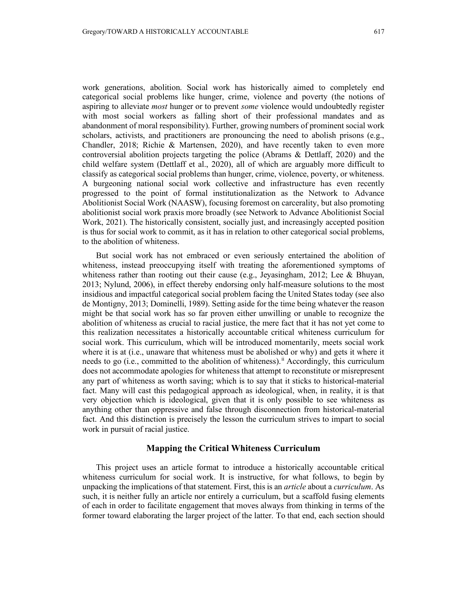work generations, abolition. Social work has historically aimed to completely end categorical social problems like hunger, crime, violence and poverty (the notions of aspiring to alleviate *most* hunger or to prevent *some* violence would undoubtedly register with most social workers as falling short of their professional mandates and as abandonment of moral responsibility). Further, growing numbers of prominent social work scholars, activists, and practitioners are pronouncing the need to abolish prisons (e.g., Chandler, 2018; Richie & Martensen, 2020), and have recently taken to even more controversial abolition projects targeting the police (Abrams & Dettlaff, 2020) and the child welfare system (Dettlaff et al., 2020), all of which are arguably more difficult to classify as categorical social problems than hunger, crime, violence, poverty, or whiteness. A burgeoning national social work collective and infrastructure has even recently progressed to the point of formal institutionalization as the Network to Advance Abolitionist Social Work (NAASW), focusing foremost on carcerality, but also promoting abolitionist social work praxis more broadly (see Network to Advance Abolitionist Social Work, 2021). The historically consistent, socially just, and increasingly accepted position is thus for social work to commit, as it has in relation to other categorical social problems, to the abolition of whiteness.

But social work has not embraced or even seriously entertained the abolition of whiteness, instead preoccupying itself with treating the aforementioned symptoms of whiteness rather than rooting out their cause (e.g., Jeyasingham, 2012; Lee & Bhuyan, 2013; Nylund, 2006), in effect thereby endorsing only half-measure solutions to the most insidious and impactful categorical social problem facing the United States today (see also de Montigny, 2013; Dominelli, 1989). Setting aside for the time being whatever the reason might be that social work has so far proven either unwilling or unable to recognize the abolition of whiteness as crucial to racial justice, the mere fact that it has not yet come to this realization necessitates a historically accountable critical whiteness curriculum for social work. This curriculum, which will be introduced momentarily, meets social work where it is at (i.e., unaware that whiteness must be abolished or why) and gets it where it needs to go (i.e., committed to the abolition of whiteness).<sup>[ii](#page-13-1)</sup> Accordingly, this curriculum does not accommodate apologies for whiteness that attempt to reconstitute or misrepresent any part of whiteness as worth saving; which is to say that it sticks to historical-material fact. Many will cast this pedagogical approach as ideological, when, in reality, it is that very objection which is ideological, given that it is only possible to see whiteness as anything other than oppressive and false through disconnection from historical-material fact. And this distinction is precisely the lesson the curriculum strives to impart to social work in pursuit of racial justice.

## **Mapping the Critical Whiteness Curriculum**

This project uses an article format to introduce a historically accountable critical whiteness curriculum for social work. It is instructive, for what follows, to begin by unpacking the implications of that statement. First, this is an *article* about a *curriculum*. As such, it is neither fully an article nor entirely a curriculum, but a scaffold fusing elements of each in order to facilitate engagement that moves always from thinking in terms of the former toward elaborating the larger project of the latter. To that end, each section should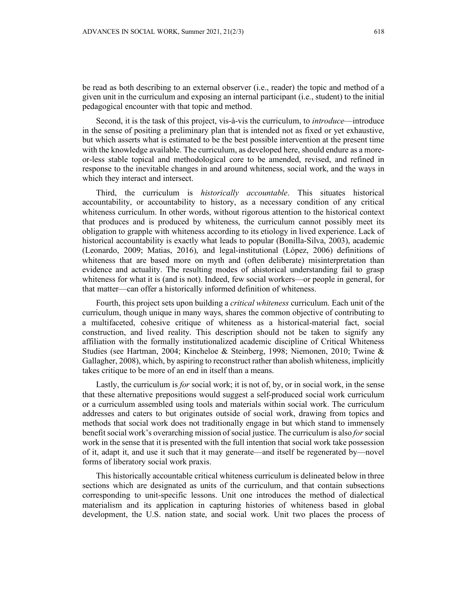be read as both describing to an external observer (i.e., reader) the topic and method of a given unit in the curriculum and exposing an internal participant (i.e., student) to the initial pedagogical encounter with that topic and method.

Second, it is the task of this project, vis-à-vis the curriculum, to *introduce*—introduce in the sense of positing a preliminary plan that is intended not as fixed or yet exhaustive, but which asserts what is estimated to be the best possible intervention at the present time with the knowledge available. The curriculum, as developed here, should endure as a moreor-less stable topical and methodological core to be amended, revised, and refined in response to the inevitable changes in and around whiteness, social work, and the ways in which they interact and intersect.

Third, the curriculum is *historically accountable*. This situates historical accountability, or accountability to history, as a necessary condition of any critical whiteness curriculum. In other words, without rigorous attention to the historical context that produces and is produced by whiteness, the curriculum cannot possibly meet its obligation to grapple with whiteness according to its etiology in lived experience. Lack of historical accountability is exactly what leads to popular (Bonilla-Silva, 2003), academic (Leonardo, 2009; Matias, 2016), and legal-institutional (López, 2006) definitions of whiteness that are based more on myth and (often deliberate) misinterpretation than evidence and actuality. The resulting modes of ahistorical understanding fail to grasp whiteness for what it is (and is not). Indeed, few social workers—or people in general, for that matter—can offer a historically informed definition of whiteness.

Fourth, this project sets upon building a *critical whiteness* curriculum. Each unit of the curriculum, though unique in many ways, shares the common objective of contributing to a multifaceted, cohesive critique of whiteness as a historical-material fact, social construction, and lived reality. This description should not be taken to signify any affiliation with the formally institutionalized academic discipline of Critical Whiteness Studies (see Hartman, 2004; Kincheloe & Steinberg, 1998; Niemonen, 2010; Twine & Gallagher, 2008), which, by aspiring to reconstruct rather than abolish whiteness, implicitly takes critique to be more of an end in itself than a means.

Lastly, the curriculum is *for* social work; it is not of, by, or in social work, in the sense that these alternative prepositions would suggest a self-produced social work curriculum or a curriculum assembled using tools and materials within social work. The curriculum addresses and caters to but originates outside of social work, drawing from topics and methods that social work does not traditionally engage in but which stand to immensely benefit social work's overarching mission of social justice. The curriculum is also *for* social work in the sense that it is presented with the full intention that social work take possession of it, adapt it, and use it such that it may generate—and itself be regenerated by—novel forms of liberatory social work praxis.

This historically accountable critical whiteness curriculum is delineated below in three sections which are designated as units of the curriculum, and that contain subsections corresponding to unit-specific lessons. Unit one introduces the method of dialectical materialism and its application in capturing histories of whiteness based in global development, the U.S. nation state, and social work. Unit two places the process of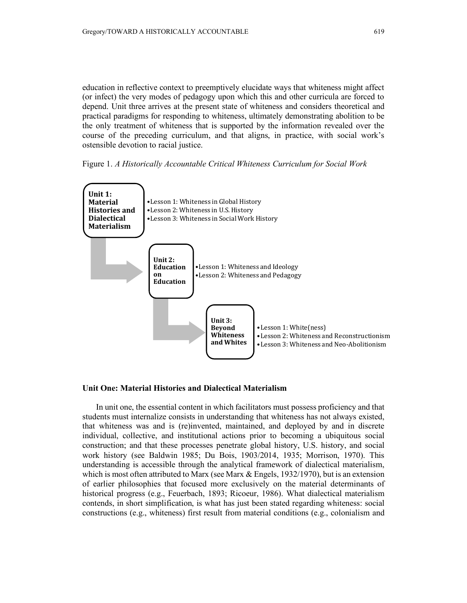education in reflective context to preemptively elucidate ways that whiteness might affect (or infect) the very modes of pedagogy upon which this and other curricula are forced to depend. Unit three arrives at the present state of whiteness and considers theoretical and practical paradigms for responding to whiteness, ultimately demonstrating abolition to be the only treatment of whiteness that is supported by the information revealed over the course of the preceding curriculum, and that aligns, in practice, with social work's ostensible devotion to racial justice.





#### **Unit One: Material Histories and Dialectical Materialism**

In unit one, the essential content in which facilitators must possess proficiency and that students must internalize consists in understanding that whiteness has not always existed, that whiteness was and is (re)invented, maintained, and deployed by and in discrete individual, collective, and institutional actions prior to becoming a ubiquitous social construction; and that these processes penetrate global history, U.S. history, and social work history (see Baldwin 1985; Du Bois, 1903/2014, 1935; Morrison, 1970). This understanding is accessible through the analytical framework of dialectical materialism, which is most often attributed to Marx (see Marx & Engels, 1932/1970), but is an extension of earlier philosophies that focused more exclusively on the material determinants of historical progress (e.g., Feuerbach, 1893; Ricoeur, 1986). What dialectical materialism contends, in short simplification, is what has just been stated regarding whiteness: social constructions (e.g., whiteness) first result from material conditions (e.g., colonialism and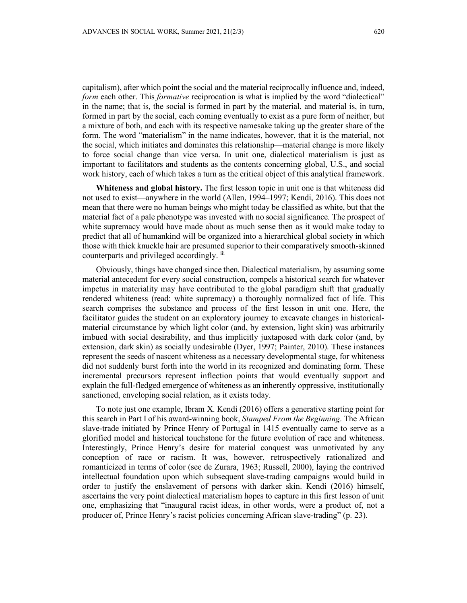capitalism), after which point the social and the material reciprocally influence and, indeed, *form* each other. This *formative* reciprocation is what is implied by the word "dialectical" in the name; that is, the social is formed in part by the material, and material is, in turn, formed in part by the social, each coming eventually to exist as a pure form of neither, but a mixture of both, and each with its respective namesake taking up the greater share of the form. The word "materialism" in the name indicates, however, that it is the material, not the social, which initiates and dominates this relationship—material change is more likely to force social change than vice versa. In unit one, dialectical materialism is just as important to facilitators and students as the contents concerning global, U.S., and social work history, each of which takes a turn as the critical object of this analytical framework.

**Whiteness and global history.** The first lesson topic in unit one is that whiteness did not used to exist—anywhere in the world (Allen, 1994–1997; Kendi, 2016). This does not mean that there were no human beings who might today be classified as white, but that the material fact of a pale phenotype was invested with no social significance. The prospect of white supremacy would have made about as much sense then as it would make today to predict that all of humankind will be organized into a hierarchical global society in which those with thick knuckle hair are presumed superior to their comparatively smooth-skinned counterparts and privileged accordingly.  $\overline{u}$ 

Obviously, things have changed since then. Dialectical materialism, by assuming some material antecedent for every social construction, compels a historical search for whatever impetus in materiality may have contributed to the global paradigm shift that gradually rendered whiteness (read: white supremacy) a thoroughly normalized fact of life. This search comprises the substance and process of the first lesson in unit one. Here, the facilitator guides the student on an exploratory journey to excavate changes in historicalmaterial circumstance by which light color (and, by extension, light skin) was arbitrarily imbued with social desirability, and thus implicitly juxtaposed with dark color (and, by extension, dark skin) as socially undesirable (Dyer, 1997; Painter, 2010). These instances represent the seeds of nascent whiteness as a necessary developmental stage, for whiteness did not suddenly burst forth into the world in its recognized and dominating form. These incremental precursors represent inflection points that would eventually support and explain the full-fledged emergence of whiteness as an inherently oppressive, institutionally sanctioned, enveloping social relation, as it exists today.

To note just one example, Ibram X. Kendi (2016) offers a generative starting point for this search in Part I of his award-winning book, *Stamped From the Beginning*. The African slave-trade initiated by Prince Henry of Portugal in 1415 eventually came to serve as a glorified model and historical touchstone for the future evolution of race and whiteness. Interestingly, Prince Henry's desire for material conquest was unmotivated by any conception of race or racism. It was, however, retrospectively rationalized and romanticized in terms of color (see de Zurara, 1963; Russell, 2000), laying the contrived intellectual foundation upon which subsequent slave-trading campaigns would build in order to justify the enslavement of persons with darker skin. Kendi (2016) himself, ascertains the very point dialectical materialism hopes to capture in this first lesson of unit one, emphasizing that "inaugural racist ideas, in other words, were a product of, not a producer of, Prince Henry's racist policies concerning African slave-trading" (p. 23).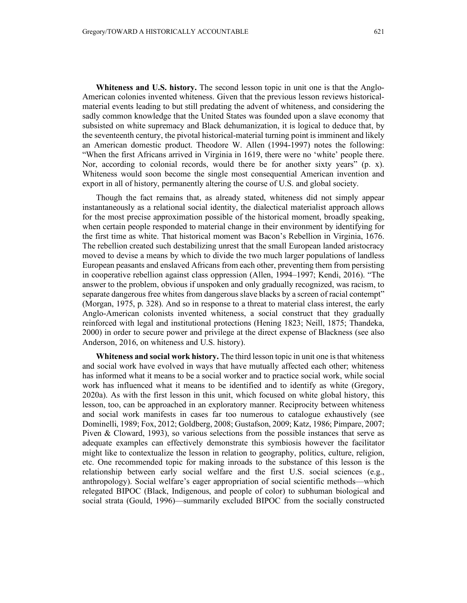**Whiteness and U.S. history.** The second lesson topic in unit one is that the Anglo-American colonies invented whiteness. Given that the previous lesson reviews historicalmaterial events leading to but still predating the advent of whiteness, and considering the sadly common knowledge that the United States was founded upon a slave economy that subsisted on white supremacy and Black dehumanization, it is logical to deduce that, by the seventeenth century, the pivotal historical-material turning point is imminent and likely an American domestic product. Theodore W. Allen (1994-1997) notes the following: "When the first Africans arrived in Virginia in 1619, there were no 'white' people there. Nor, according to colonial records, would there be for another sixty years" (p. x). Whiteness would soon become the single most consequential American invention and export in all of history, permanently altering the course of U.S. and global society.

Though the fact remains that, as already stated, whiteness did not simply appear instantaneously as a relational social identity, the dialectical materialist approach allows for the most precise approximation possible of the historical moment, broadly speaking, when certain people responded to material change in their environment by identifying for the first time as white. That historical moment was Bacon's Rebellion in Virginia, 1676. The rebellion created such destabilizing unrest that the small European landed aristocracy moved to devise a means by which to divide the two much larger populations of landless European peasants and enslaved Africans from each other, preventing them from persisting in cooperative rebellion against class oppression (Allen, 1994–1997; Kendi, 2016). "The answer to the problem, obvious if unspoken and only gradually recognized, was racism, to separate dangerous free whites from dangerous slave blacks by a screen of racial contempt" (Morgan, 1975, p. 328). And so in response to a threat to material class interest, the early Anglo-American colonists invented whiteness, a social construct that they gradually reinforced with legal and institutional protections (Hening 1823; Neill, 1875; Thandeka, 2000) in order to secure power and privilege at the direct expense of Blackness (see also Anderson, 2016, on whiteness and U.S. history).

**Whiteness and social work history.** The third lesson topic in unit one is that whiteness and social work have evolved in ways that have mutually affected each other; whiteness has informed what it means to be a social worker and to practice social work, while social work has influenced what it means to be identified and to identify as white (Gregory, 2020a). As with the first lesson in this unit, which focused on white global history, this lesson, too, can be approached in an exploratory manner. Reciprocity between whiteness and social work manifests in cases far too numerous to catalogue exhaustively (see Dominelli, 1989; Fox, 2012; Goldberg, 2008; Gustafson, 2009; Katz, 1986; Pimpare, 2007; Piven & Cloward, 1993), so various selections from the possible instances that serve as adequate examples can effectively demonstrate this symbiosis however the facilitator might like to contextualize the lesson in relation to geography, politics, culture, religion, etc. One recommended topic for making inroads to the substance of this lesson is the relationship between early social welfare and the first U.S. social sciences (e.g., anthropology). Social welfare's eager appropriation of social scientific methods—which relegated BIPOC (Black, Indigenous, and people of color) to subhuman biological and social strata (Gould, 1996)—summarily excluded BIPOC from the socially constructed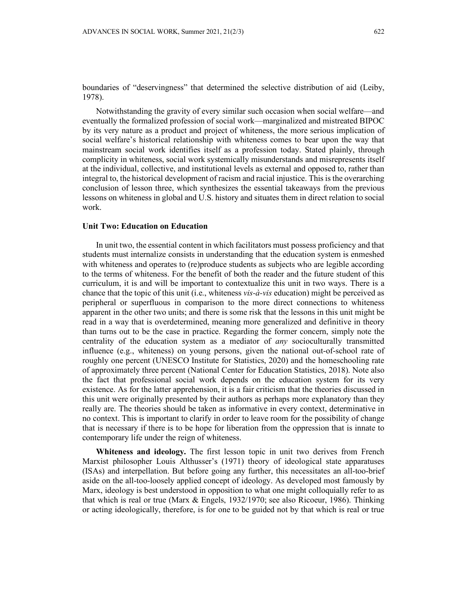boundaries of "deservingness" that determined the selective distribution of aid (Leiby, 1978).

Notwithstanding the gravity of every similar such occasion when social welfare—and eventually the formalized profession of social work—marginalized and mistreated BIPOC by its very nature as a product and project of whiteness, the more serious implication of social welfare's historical relationship with whiteness comes to bear upon the way that mainstream social work identifies itself as a profession today. Stated plainly, through complicity in whiteness, social work systemically misunderstands and misrepresents itself at the individual, collective, and institutional levels as external and opposed to, rather than integral to, the historical development of racism and racial injustice. This is the overarching conclusion of lesson three, which synthesizes the essential takeaways from the previous lessons on whiteness in global and U.S. history and situates them in direct relation to social work.

### **Unit Two: Education on Education**

In unit two, the essential content in which facilitators must possess proficiency and that students must internalize consists in understanding that the education system is enmeshed with whiteness and operates to (re)produce students as subjects who are legible according to the terms of whiteness. For the benefit of both the reader and the future student of this curriculum, it is and will be important to contextualize this unit in two ways. There is a chance that the topic of this unit (i.e., whiteness *vis-à-vis* education) might be perceived as peripheral or superfluous in comparison to the more direct connections to whiteness apparent in the other two units; and there is some risk that the lessons in this unit might be read in a way that is overdetermined, meaning more generalized and definitive in theory than turns out to be the case in practice. Regarding the former concern, simply note the centrality of the education system as a mediator of *any* socioculturally transmitted influence (e.g., whiteness) on young persons, given the national out-of-school rate of roughly one percent (UNESCO Institute for Statistics, 2020) and the homeschooling rate of approximately three percent (National Center for Education Statistics, 2018). Note also the fact that professional social work depends on the education system for its very existence. As for the latter apprehension, it is a fair criticism that the theories discussed in this unit were originally presented by their authors as perhaps more explanatory than they really are. The theories should be taken as informative in every context, determinative in no context. This is important to clarify in order to leave room for the possibility of change that is necessary if there is to be hope for liberation from the oppression that is innate to contemporary life under the reign of whiteness.

**Whiteness and ideology.** The first lesson topic in unit two derives from French Marxist philosopher Louis Althusser's (1971) theory of ideological state apparatuses (ISAs) and interpellation. But before going any further, this necessitates an all-too-brief aside on the all-too-loosely applied concept of ideology. As developed most famously by Marx, ideology is best understood in opposition to what one might colloquially refer to as that which is real or true (Marx & Engels, 1932/1970; see also Ricoeur, 1986). Thinking or acting ideologically, therefore, is for one to be guided not by that which is real or true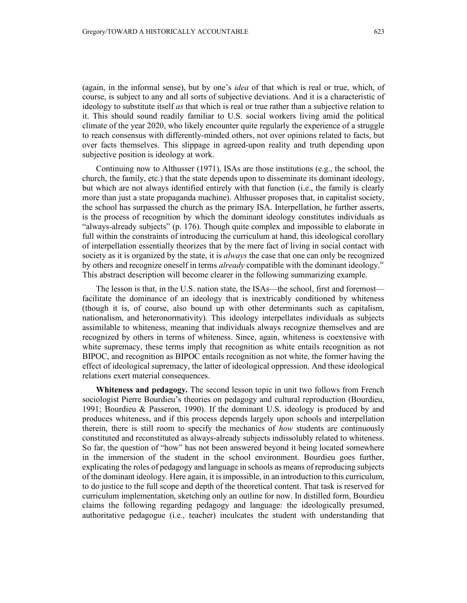(again, in the informal sense), but by one's *idea* of that which is real or true, which, of course, is subject to any and all sorts of subjective deviations. And it is a characteristic of ideology to substitute itself *as* that which is real or true rather than a subjective relation to it. This should sound readily familiar to U.S. social workers living amid the political climate of the year 2020, who likely encounter quite regularly the experience of a struggle to reach consensus with differently-minded others, not over opinions related to facts, but over facts themselves. This slippage in agreed-upon reality and truth depending upon subjective position is ideology at work.

Continuing now to Althusser (1971), ISAs are those institutions (e.g., the school, the church, the family, etc.) that the state depends upon to disseminate its dominant ideology, but which are not always identified entirely with that function (i.e., the family is clearly more than just a state propaganda machine). Althusser proposes that, in capitalist society, the school has surpassed the church as the primary ISA. Interpellation, he further asserts, is the process of recognition by which the dominant ideology constitutes individuals as "always-already subjects" (p. 176). Though quite complex and impossible to elaborate in full within the constraints of introducing the curriculum at hand, this ideological corollary of interpellation essentially theorizes that by the mere fact of living in social contact with society as it is organized by the state, it is *always* the case that one can only be recognized by others and recognize oneself in terms *already* compatible with the dominant ideology.[iv](#page-13-3) This abstract description will become clearer in the following summarizing example.

The lesson is that, in the U.S. nation state, the ISAs—the school, first and foremost facilitate the dominance of an ideology that is inextricably conditioned by whiteness (though it is, of course, also bound up with other determinants such as capitalism, nationalism, and heteronormativity). This ideology interpellates individuals as subjects assimilable to whiteness, meaning that individuals always recognize themselves and are recognized by others in terms of whiteness. Since, again, whiteness is coextensive with white supremacy, these terms imply that recognition as white entails recognition as not BIPOC, and recognition as BIPOC entails recognition as not white, the former having the effect of ideological supremacy, the latter of ideological oppression. And these ideological relations exert material consequences.

**Whiteness and pedagogy.** The second lesson topic in unit two follows from French sociologist Pierre Bourdieu's theories on pedagogy and cultural reproduction (Bourdieu, 1991; Bourdieu & Passeron, 1990). If the dominant U.S. ideology is produced by and produces whiteness, and if this process depends largely upon schools and interpellation therein, there is still room to specify the mechanics of *how* students are continuously constituted and reconstituted as always-already subjects indissolubly related to whiteness. So far, the question of "how" has not been answered beyond it being located somewhere in the immersion of the student in the school environment. Bourdieu goes further, explicating the roles of pedagogy and language in schools as means of reproducing subjects of the dominant ideology. Here again, it is impossible, in an introduction to this curriculum, to do justice to the full scope and depth of the theoretical content. That task is reserved for curriculum implementation, sketching only an outline for now. In distilled form, Bourdieu claims the following regarding pedagogy and language: the ideologically presumed, authoritative pedagogue (i.e., teacher) inculcates the student with understanding that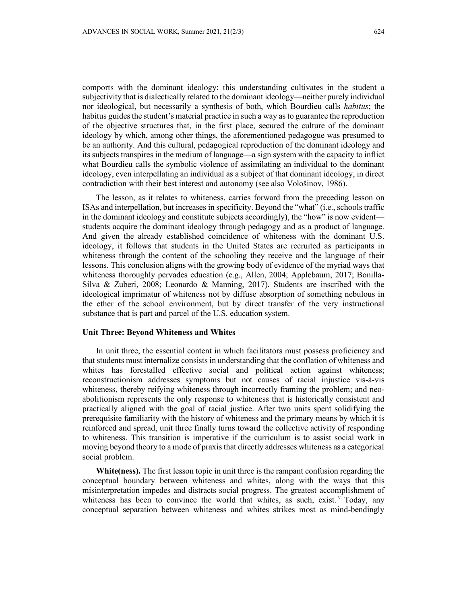comports with the dominant ideology; this understanding cultivates in the student a subjectivity that is dialectically related to the dominant ideology—neither purely individual nor ideological, but necessarily a synthesis of both, which Bourdieu calls *habitus*; the habitus guides the student's material practice in such a way as to guarantee the reproduction of the objective structures that, in the first place, secured the culture of the dominant ideology by which, among other things, the aforementioned pedagogue was presumed to be an authority. And this cultural, pedagogical reproduction of the dominant ideology and its subjects transpires in the medium of language—a sign system with the capacity to inflict what Bourdieu calls the symbolic violence of assimilating an individual to the dominant ideology, even interpellating an individual as a subject of that dominant ideology, in direct contradiction with their best interest and autonomy (see also Vološinov, 1986).

The lesson, as it relates to whiteness, carries forward from the preceding lesson on ISAs and interpellation, but increases in specificity. Beyond the "what" (i.e., schools traffic in the dominant ideology and constitute subjects accordingly), the "how" is now evident students acquire the dominant ideology through pedagogy and as a product of language. And given the already established coincidence of whiteness with the dominant U.S. ideology, it follows that students in the United States are recruited as participants in whiteness through the content of the schooling they receive and the language of their lessons. This conclusion aligns with the growing body of evidence of the myriad ways that whiteness thoroughly pervades education (e.g., Allen, 2004; Applebaum, 2017; Bonilla-Silva & Zuberi, 2008; Leonardo & Manning, 2017). Students are inscribed with the ideological imprimatur of whiteness not by diffuse absorption of something nebulous in the ether of the school environment, but by direct transfer of the very instructional substance that is part and parcel of the U.S. education system.

#### **Unit Three: Beyond Whiteness and Whites**

In unit three, the essential content in which facilitators must possess proficiency and that students must internalize consists in understanding that the conflation of whiteness and whites has forestalled effective social and political action against whiteness; reconstructionism addresses symptoms but not causes of racial injustice vis-à-vis whiteness, thereby reifying whiteness through incorrectly framing the problem; and neoabolitionism represents the only response to whiteness that is historically consistent and practically aligned with the goal of racial justice. After two units spent solidifying the prerequisite familiarity with the history of whiteness and the primary means by which it is reinforced and spread, unit three finally turns toward the collective activity of responding to whiteness. This transition is imperative if the curriculum is to assist social work in moving beyond theory to a mode of praxis that directly addresses whiteness as a categorical social problem.

**White(ness).** The first lesson topic in unit three is the rampant confusion regarding the conceptual boundary between whiteness and whites, along with the ways that this misinterpretation impedes and distracts social progress. The greatest accomplishment of whiteness has been to con[v](#page-13-4)ince the world that whites, as such, exist.  $\check{y}$  Today, any conceptual separation between whiteness and whites strikes most as mind-bendingly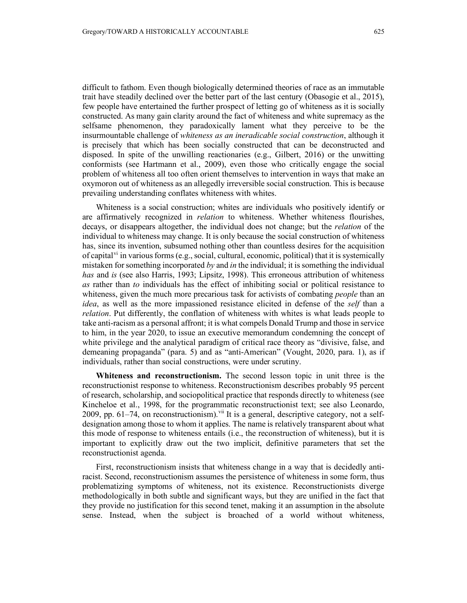difficult to fathom. Even though biologically determined theories of race as an immutable trait have steadily declined over the better part of the last century (Obasogie et al., 2015), few people have entertained the further prospect of letting go of whiteness as it is socially constructed. As many gain clarity around the fact of whiteness and white supremacy as the selfsame phenomenon, they paradoxically lament what they perceive to be the insurmountable challenge of *whiteness as an ineradicable social construction*, although it is precisely that which has been socially constructed that can be deconstructed and disposed. In spite of the unwilling reactionaries (e.g., Gilbert, 2016) or the unwitting conformists (see Hartmann et al., 2009), even those who critically engage the social problem of whiteness all too often orient themselves to intervention in ways that make an oxymoron out of whiteness as an allegedly irreversible social construction. This is because prevailing understanding conflates whiteness with whites.

Whiteness is a social construction; whites are individuals who positively identify or are affirmatively recognized in *relation* to whiteness. Whether whiteness flourishes, decays, or disappears altogether, the individual does not change; but the *relation* of the individual to whiteness may change. It is only because the social construction of whiteness has, since its invention, subsumed nothing other than countless desires for the acquisition of capital<sup> $vi$ </sup> in various forms (e.g., social, cultural, economic, political) that it is systemically mistaken for something incorporated *by* and *in* the individual; it is something the individual *has* and *is* (see also Harris, 1993; Lipsitz, 1998). This erroneous attribution of whiteness *as* rather than *to* individuals has the effect of inhibiting social or political resistance to whiteness, given the much more precarious task for activists of combating *people* than an *idea*, as well as the more impassioned resistance elicited in defense of the *self* than a *relation*. Put differently, the conflation of whiteness with whites is what leads people to take anti-racism as a personal affront; it is what compels Donald Trump and those in service to him, in the year 2020, to issue an executive memorandum condemning the concept of white privilege and the analytical paradigm of critical race theory as "divisive, false, and demeaning propaganda" (para. 5) and as "anti-American" (Vought, 2020, para. 1), as if individuals, rather than social constructions, were under scrutiny.

**Whiteness and reconstructionism.** The second lesson topic in unit three is the reconstructionist response to whiteness. Reconstructionism describes probably 95 percent of research, scholarship, and sociopolitical practice that responds directly to whiteness (see Kincheloe et al., 1998, for the programmatic reconstructionist text; see also Leonardo, 2009, pp.  $61-74$ , on reconstructionism).  $\frac{v}{u}$  It is a general, descriptive category, not a selfdesignation among those to whom it applies. The name is relatively transparent about what this mode of response to whiteness entails (i.e., the reconstruction of whiteness), but it is important to explicitly draw out the two implicit, definitive parameters that set the reconstructionist agenda.

First, reconstructionism insists that whiteness change in a way that is decidedly antiracist. Second, reconstructionism assumes the persistence of whiteness in some form, thus problematizing symptoms of whiteness, not its existence. Reconstructionists diverge methodologically in both subtle and significant ways, but they are unified in the fact that they provide no justification for this second tenet, making it an assumption in the absolute sense. Instead, when the subject is broached of a world without whiteness,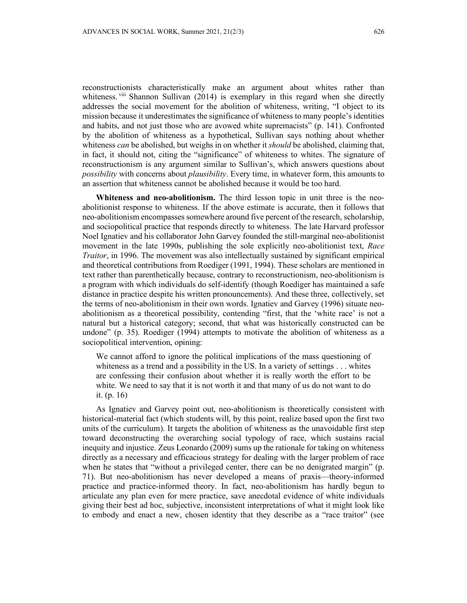reconstructionists characteristically make an argument about whites rather than whiteness. [viii](#page-13-7) Shannon Sullivan (2014) is exemplary in this regard when she directly addresses the social movement for the abolition of whiteness, writing, "I object to its mission because it underestimates the significance of whiteness to many people's identities and habits, and not just those who are avowed white supremacists" (p. 141). Confronted by the abolition of whiteness as a hypothetical, Sullivan says nothing about whether whiteness *can* be abolished, but weighs in on whether it *should* be abolished, claiming that, in fact, it should not, citing the "significance" of whiteness to whites. The signature of reconstructionism is any argument similar to Sullivan's, which answers questions about *possibility* with concerns about *plausibility*. Every time, in whatever form, this amounts to an assertion that whiteness cannot be abolished because it would be too hard.

**Whiteness and neo-abolitionism.** The third lesson topic in unit three is the neoabolitionist response to whiteness. If the above estimate is accurate, then it follows that neo-abolitionism encompasses somewhere around five percent of the research, scholarship, and sociopolitical practice that responds directly to whiteness. The late Harvard professor Noel Ignatiev and his collaborator John Garvey founded the still-marginal neo-abolitionist movement in the late 1990s, publishing the sole explicitly neo-abolitionist text, *Race Traitor*, in 1996. The movement was also intellectually sustained by significant empirical and theoretical contributions from Roediger (1991, 1994). These scholars are mentioned in text rather than parenthetically because, contrary to reconstructionism, neo-abolitionism is a program with which individuals do self-identify (though Roediger has maintained a safe distance in practice despite his written pronouncements). And these three, collectively, set the terms of neo-abolitionism in their own words. Ignatiev and Garvey (1996) situate neoabolitionism as a theoretical possibility, contending "first, that the 'white race' is not a natural but a historical category; second, that what was historically constructed can be undone" (p. 35). Roediger (1994) attempts to motivate the abolition of whiteness as a sociopolitical intervention, opining:

We cannot afford to ignore the political implications of the mass questioning of whiteness as a trend and a possibility in the US. In a variety of settings . . . whites are confessing their confusion about whether it is really worth the effort to be white. We need to say that it is not worth it and that many of us do not want to do it. (p. 16)

As Ignatiev and Garvey point out, neo-abolitionism is theoretically consistent with historical-material fact (which students will, by this point, realize based upon the first two units of the curriculum). It targets the abolition of whiteness as the unavoidable first step toward deconstructing the overarching social typology of race, which sustains racial inequity and injustice. Zeus Leonardo (2009) sums up the rationale for taking on whiteness directly as a necessary and efficacious strategy for dealing with the larger problem of race when he states that "without a privileged center, there can be no denigrated margin" (p. 71). But neo-abolitionism has never developed a means of praxis—theory-informed practice and practice-informed theory. In fact, neo-abolitionism has hardly begun to articulate any plan even for mere practice, save anecdotal evidence of white individuals giving their best ad hoc, subjective, inconsistent interpretations of what it might look like to embody and enact a new, chosen identity that they describe as a "race traitor" (see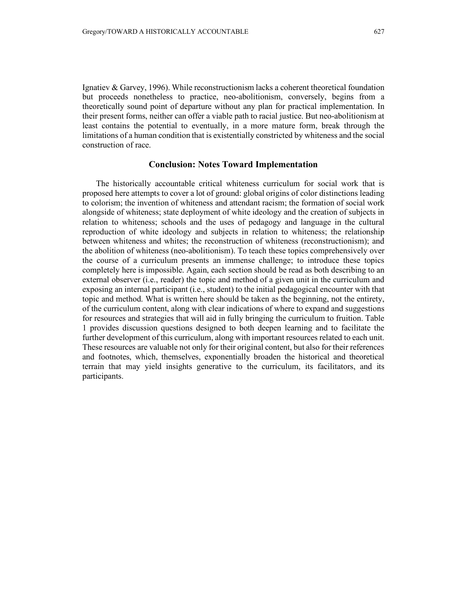Ignatiev & Garvey, 1996). While reconstructionism lacks a coherent theoretical foundation but proceeds nonetheless to practice, neo-abolitionism, conversely, begins from a theoretically sound point of departure without any plan for practical implementation. In their present forms, neither can offer a viable path to racial justice. But neo-abolitionism at least contains the potential to eventually, in a more mature form, break through the limitations of a human condition that is existentially constricted by whiteness and the social construction of race.

### **Conclusion: Notes Toward Implementation**

The historically accountable critical whiteness curriculum for social work that is proposed here attempts to cover a lot of ground: global origins of color distinctions leading to colorism; the invention of whiteness and attendant racism; the formation of social work alongside of whiteness; state deployment of white ideology and the creation of subjects in relation to whiteness; schools and the uses of pedagogy and language in the cultural reproduction of white ideology and subjects in relation to whiteness; the relationship between whiteness and whites; the reconstruction of whiteness (reconstructionism); and the abolition of whiteness (neo-abolitionism). To teach these topics comprehensively over the course of a curriculum presents an immense challenge; to introduce these topics completely here is impossible. Again, each section should be read as both describing to an external observer (i.e., reader) the topic and method of a given unit in the curriculum and exposing an internal participant (i.e., student) to the initial pedagogical encounter with that topic and method. What is written here should be taken as the beginning, not the entirety, of the curriculum content, along with clear indications of where to expand and suggestions for resources and strategies that will aid in fully bringing the curriculum to fruition. Table 1 provides discussion questions designed to both deepen learning and to facilitate the further development of this curriculum, along with important resources related to each unit. These resources are valuable not only for their original content, but also for their references and footnotes, which, themselves, exponentially broaden the historical and theoretical terrain that may yield insights generative to the curriculum, its facilitators, and its participants.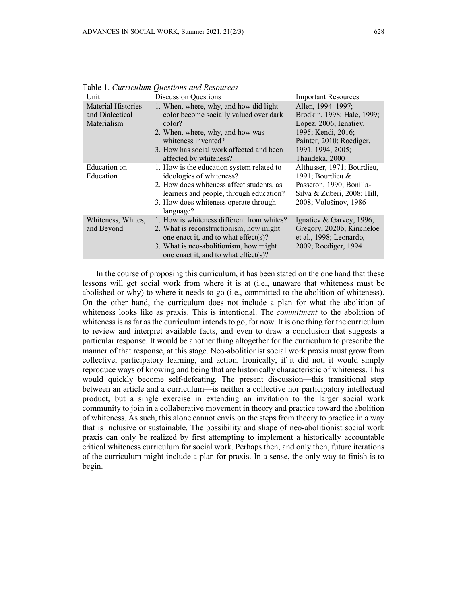| Unit                      | <b>Discussion Questions</b>                | <b>Important Resources</b>  |
|---------------------------|--------------------------------------------|-----------------------------|
| <b>Material Histories</b> | 1. When, where, why, and how did light     | Allen, 1994-1997;           |
| and Dialectical           | color become socially valued over dark     | Brodkin, 1998; Hale, 1999;  |
| Materialism               | color?                                     | López, 2006; Ignatiev,      |
|                           | 2. When, where, why, and how was           | 1995; Kendi, 2016;          |
|                           | whiteness invented?                        | Painter, 2010; Roediger,    |
|                           | 3. How has social work affected and been   | 1991, 1994, 2005;           |
|                           | affected by whiteness?                     | Thandeka, 2000              |
| Education on              | 1. How is the education system related to  | Althusser, 1971; Bourdieu,  |
| Education                 | ideologies of whiteness?                   | 1991; Bourdieu &            |
|                           | 2. How does whiteness affect students, as  | Passeron, 1990; Bonilla-    |
|                           | learners and people, through education?    | Silva & Zuberi, 2008; Hill, |
|                           | 3. How does whiteness operate through      | 2008; Vološinov, 1986       |
|                           | language?                                  |                             |
| Whiteness, Whites,        | 1. How is whiteness different from whites? | Ignatiev & Garvey, 1996;    |
| and Beyond                | 2. What is reconstructionism, how might    | Gregory, 2020b; Kincheloe   |
|                           | one enact it, and to what effect(s)?       | et al., 1998; Leonardo,     |
|                           | 3. What is neo-abolitionism, how might     | 2009; Roediger, 1994        |
|                           | one enact it, and to what effect(s)?       |                             |

Table 1. *Curriculum Questions and Resources*

In the course of proposing this curriculum, it has been stated on the one hand that these lessons will get social work from where it is at (i.e., unaware that whiteness must be abolished or why) to where it needs to go (i.e., committed to the abolition of whiteness). On the other hand, the curriculum does not include a plan for what the abolition of whiteness looks like as praxis. This is intentional. The *commitment* to the abolition of whiteness is as far as the curriculum intends to go, for now. It is one thing for the curriculum to review and interpret available facts, and even to draw a conclusion that suggests a particular response. It would be another thing altogether for the curriculum to prescribe the manner of that response, at this stage. Neo-abolitionist social work praxis must grow from collective, participatory learning, and action. Ironically, if it did not, it would simply reproduce ways of knowing and being that are historically characteristic of whiteness. This would quickly become self-defeating. The present discussion—this transitional step between an article and a curriculum—is neither a collective nor participatory intellectual product, but a single exercise in extending an invitation to the larger social work community to join in a collaborative movement in theory and practice toward the abolition of whiteness. As such, this alone cannot envision the steps from theory to practice in a way that is inclusive or sustainable. The possibility and shape of neo-abolitionist social work praxis can only be realized by first attempting to implement a historically accountable critical whiteness curriculum for social work. Perhaps then, and only then, future iterations of the curriculum might include a plan for praxis. In a sense, the only way to finish is to begin.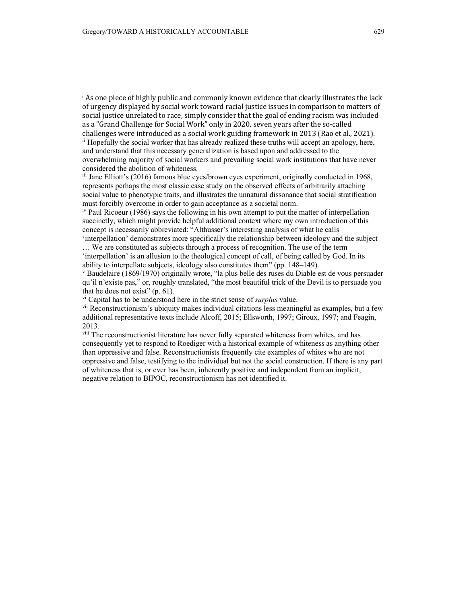'interpellation' demonstrates more specifically the relationship between ideology and the subject … We are constituted as subjects through a process of recognition. The use of the term

'interpellation' is an allusion to the theological concept of call, of being called by God. In its ability to interpellate subjects, ideology also constitutes them" (pp. 148–149).

<span id="page-13-4"></span><sup>v</sup> Baudelaire (1869/1970) originally wrote, "la plus belle des ruses du Diable est de vous persuader qu'il n'existe pas," or, roughly translated, "the most beautiful trick of the Devil is to persuade you that he does not exist"  $(p. 61)$ .

<span id="page-13-0"></span><sup>i</sup> As one piece of highly public and commonly known evidence that clearly illustrates the lack of urgency displayed by social work toward racial justice issues in comparison to matters of social justice unrelated to race, simply consider that the goal of ending racism was included as a "Grand Challenge for Social Work" only in 2020, seven years after the so-called challenges were introduced as a social work guiding framework in 2013 (Rao et al., 2021).

<span id="page-13-1"></span> $\ddot{a}$  Hopefully the social worker that has already realized these truths will accept an apology, here, and understand that this necessary generalization is based upon and addressed to the overwhelming majority of social workers and prevailing social work institutions that have never

considered the abolition of whiteness.

<span id="page-13-2"></span>iii Jane Elliott's (2016) famous blue eyes/brown eyes experiment, originally conducted in 1968, represents perhaps the most classic case study on the observed effects of arbitrarily attaching social value to phenotypic traits, and illustrates the unnatural dissonance that social stratification must forcibly overcome in order to gain acceptance as a societal norm.

<span id="page-13-3"></span>iv Paul Ricoeur (1986) says the following in his own attempt to put the matter of interpellation succinctly, which might provide helpful additional context where my own introduction of this concept is necessarily abbreviated: "Althusser's interesting analysis of what he calls

<span id="page-13-5"></span>vi Capital has to be understood here in the strict sense of *surplus* value.

<span id="page-13-6"></span>vii Reconstructionism's ubiquity makes individual citations less meaningful as examples, but a few additional representative texts include Alcoff, 2015; Ellsworth, 1997; Giroux, 1997; and Feagin, 2013.

<span id="page-13-7"></span>viii The reconstructionist literature has never fully separated whiteness from whites, and has consequently yet to respond to Roediger with a historical example of whiteness as anything other than oppressive and false. Reconstructionists frequently cite examples of whites who are not oppressive and false, testifying to the individual but not the social construction. If there is any part of whiteness that is, or ever has been, inherently positive and independent from an implicit, negative relation to BIPOC, reconstructionism has not identified it.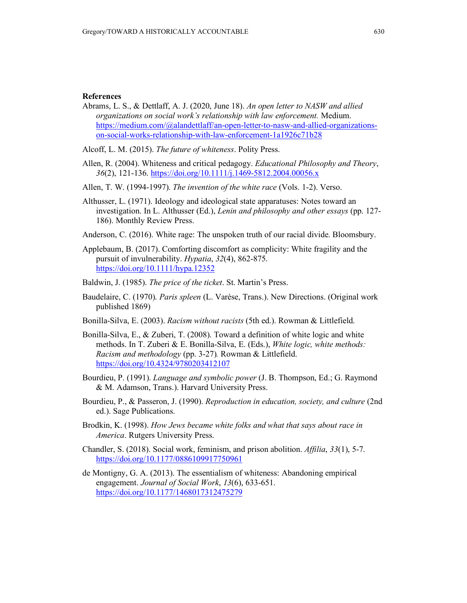## **References**

- Abrams, L. S., & Dettlaff, A. J. (2020, June 18). *An open letter to NASW and allied organizations on social work's relationship with law enforcement.* Medium. [https://medium.com/@alandettlaff/an-open-letter-to-nasw-and-allied-organizations](https://medium.com/@alandettlaff/an-open-letter-to-nasw-and-allied-organizations-on-social-works-relationship-with-law-enforcement-1a1926c71b28)[on-social-works-relationship-with-law-enforcement-1a1926c71b28](https://medium.com/@alandettlaff/an-open-letter-to-nasw-and-allied-organizations-on-social-works-relationship-with-law-enforcement-1a1926c71b28)
- Alcoff, L. M. (2015). *The future of whiteness*. Polity Press.
- Allen, R. (2004). Whiteness and critical pedagogy. *Educational Philosophy and Theory*, *36*(2), 121-136.<https://doi.org/10.1111/j.1469-5812.2004.00056.x>
- Allen, T. W. (1994-1997). *The invention of the white race* (Vols. 1-2). Verso.
- Althusser, L. (1971). Ideology and ideological state apparatuses: Notes toward an investigation. In L. Althusser (Ed.), *Lenin and philosophy and other essays* (pp. 127- 186). Monthly Review Press.
- Anderson, C. (2016). White rage: The unspoken truth of our racial divide. Bloomsbury.
- Applebaum, B. (2017). Comforting discomfort as complicity: White fragility and the pursuit of invulnerability. *Hypatia*, *32*(4), 862-875. <https://doi.org/10.1111/hypa.12352>
- Baldwin, J. (1985). *The price of the ticket*. St. Martin's Press.
- Baudelaire, C. (1970). *Paris spleen* (L. Varèse, Trans.). New Directions. (Original work published 1869)
- Bonilla-Silva, E. (2003). *Racism without racists* (5th ed.). Rowman & Littlefield.
- Bonilla-Silva, E., & Zuberi, T. (2008). Toward a definition of white logic and white methods. In T. Zuberi & E. Bonilla-Silva, E. (Eds.), *White logic, white methods: Racism and methodology* (pp. 3-27)*.* Rowman & Littlefield. <https://doi.org/10.4324/9780203412107>
- Bourdieu, P. (1991). *Language and symbolic power* (J. B. Thompson, Ed.; G. Raymond & M. Adamson, Trans.). Harvard University Press.
- Bourdieu, P., & Passeron, J. (1990). *Reproduction in education, society, and culture* (2nd ed.). Sage Publications.
- Brodkin, K. (1998). *How Jews became white folks and what that says about race in America*. Rutgers University Press.
- Chandler, S. (2018). Social work, feminism, and prison abolition. *Affilia*, *33*(1), 5-7. <https://doi.org/10.1177/0886109917750961>
- de Montigny, G. A. (2013). The essentialism of whiteness: Abandoning empirical engagement. *Journal of Social Work*, *13*(6), 633-651. <https://doi.org/10.1177/1468017312475279>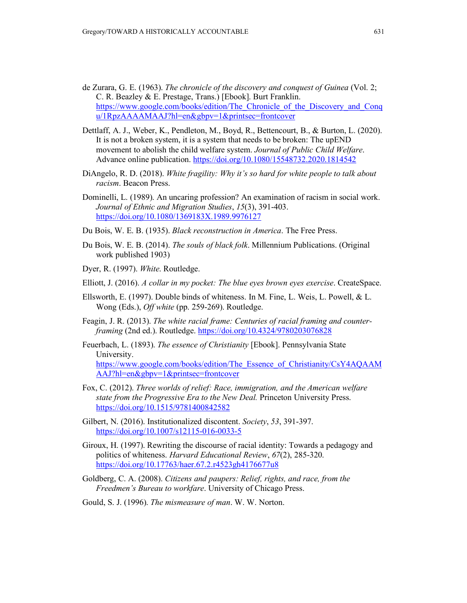- de Zurara, G. E. (1963). *The chronicle of the discovery and conquest of Guinea* (Vol. 2; C. R. Beazley & E. Prestage, Trans.) [Ebook]. Burt Franklin. [https://www.google.com/books/edition/The\\_Chronicle\\_of\\_the\\_Discovery\\_and\\_Conq](https://www.google.com/books/edition/The_Chronicle_of_the_Discovery_and_Conqu/1RpzAAAAMAAJ?hl=en&gbpv=1&printsec=frontcover) [u/1RpzAAAAMAAJ?hl=en&gbpv=1&printsec=frontcover](https://www.google.com/books/edition/The_Chronicle_of_the_Discovery_and_Conqu/1RpzAAAAMAAJ?hl=en&gbpv=1&printsec=frontcover)
- Dettlaff, A. J., Weber, K., Pendleton, M., Boyd, R., Bettencourt, B., & Burton, L. (2020). It is not a broken system, it is a system that needs to be broken: The upEND movement to abolish the child welfare system. *Journal of Public Child Welfare*. Advance online publication.<https://doi.org/10.1080/15548732.2020.1814542>
- DiAngelo, R. D. (2018). *White fragility: Why it's so hard for white people to talk about racism*. Beacon Press.
- Dominelli, L. (1989). An uncaring profession? An examination of racism in social work. *Journal of Ethnic and Migration Studies*, *15*(3), 391-403. <https://doi.org/10.1080/1369183X.1989.9976127>
- Du Bois, W. E. B. (1935). *Black reconstruction in America*. The Free Press.
- Du Bois, W. E. B. (2014). *The souls of black folk*. Millennium Publications. (Original work published 1903)
- Dyer, R. (1997). *White*. Routledge.
- Elliott, J. (2016). *A collar in my pocket: The blue eyes brown eyes exercise*. CreateSpace.
- Ellsworth, E. (1997). Double binds of whiteness. In M. Fine, L. Weis, L. Powell, & L. Wong (Eds.), *Off white* (pp. 259-269). Routledge.
- Feagin, J. R. (2013). *The white racial frame: Centuries of racial framing and counterframing* (2nd ed.). Routledge. <https://doi.org/10.4324/9780203076828>
- Feuerbach, L. (1893). *The essence of Christianity* [Ebook]. Pennsylvania State University. [https://www.google.com/books/edition/The\\_Essence\\_of\\_Christianity/CsY4AQAAM](https://www.google.com/books/edition/The_Essence_of_Christianity/CsY4AQAAMAAJ?hl=en&gbpv=1&printsec=frontcover) [AAJ?hl=en&gbpv=1&printsec=frontcover](https://www.google.com/books/edition/The_Essence_of_Christianity/CsY4AQAAMAAJ?hl=en&gbpv=1&printsec=frontcover)
- Fox, C. (2012). *Three worlds of relief: Race, immigration, and the American welfare state from the Progressive Era to the New Deal.* Princeton University Press. <https://doi.org/10.1515/9781400842582>
- Gilbert, N. (2016). Institutionalized discontent. *Society*, *53*, 391-397. <https://doi.org/10.1007/s12115-016-0033-5>
- Giroux, H. (1997). Rewriting the discourse of racial identity: Towards a pedagogy and politics of whiteness. *Harvard Educational Review*, *67*(2), 285-320. <https://doi.org/10.17763/haer.67.2.r4523gh4176677u8>
- Goldberg, C. A. (2008). *Citizens and paupers: Relief, rights, and race, from the Freedmen's Bureau to workfare*. University of Chicago Press.
- Gould, S. J. (1996). *The mismeasure of man*. W. W. Norton.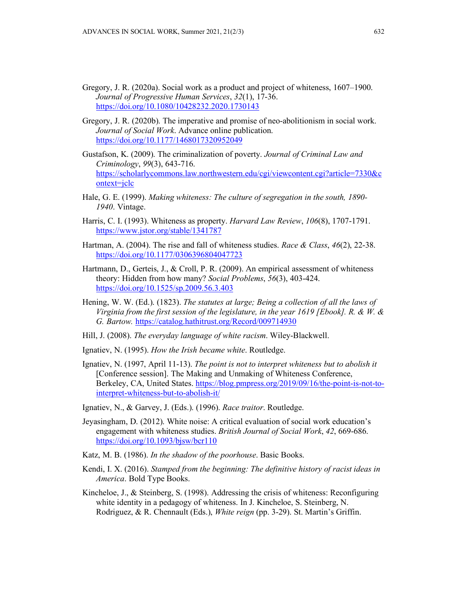- Gregory, J. R. (2020a). Social work as a product and project of whiteness, 1607–1900. *Journal of Progressive Human Services*, *32*(1), 17-36. <https://doi.org/10.1080/10428232.2020.1730143>
- Gregory, J. R. (2020b). The imperative and promise of neo-abolitionism in social work. *Journal of Social Work*. Advance online publication. <https://doi.org/10.1177/1468017320952049>
- Gustafson, K. (2009). The criminalization of poverty. *Journal of Criminal Law and Criminology*, *99*(3), 643-716. [https://scholarlycommons.law.northwestern.edu/cgi/viewcontent.cgi?article=7330&c](https://scholarlycommons.law.northwestern.edu/cgi/viewcontent.cgi?article=7330&context=jclc) [ontext=jclc](https://scholarlycommons.law.northwestern.edu/cgi/viewcontent.cgi?article=7330&context=jclc)
- Hale, G. E. (1999). *Making whiteness: The culture of segregation in the south, 1890- 1940*. Vintage.
- Harris, C. I. (1993). Whiteness as property. *Harvard Law Review*, *106*(8), 1707-1791. <https://www.jstor.org/stable/1341787>
- Hartman, A. (2004). The rise and fall of whiteness studies. *Race & Class*, *46*(2), 22-38. <https://doi.org/10.1177/0306396804047723>
- Hartmann, D., Gerteis, J., & Croll, P. R. (2009). An empirical assessment of whiteness theory: Hidden from how many? *Social Problems*, *56*(3), 403-424. <https://doi.org/10.1525/sp.2009.56.3.403>
- Hening, W. W. (Ed.). (1823). *The statutes at large; Being a collection of all the laws of Virginia from the first session of the legislature, in the year 1619 [Ebook]. R. & W. & G. Bartow.* <https://catalog.hathitrust.org/Record/009714930>
- Hill, J. (2008). *The everyday language of white racism*. Wiley-Blackwell.
- Ignatiev, N. (1995). *How the Irish became white*. Routledge.
- Ignatiev, N. (1997, April 11-13). *The point is not to interpret whiteness but to abolish it* [Conference session]. The Making and Unmaking of Whiteness Conference, Berkeley, CA, United States. [https://blog.pmpress.org/2019/09/16/the-point-is-not-to](https://blog.pmpress.org/2019/09/16/the-point-is-not-to-interpret-whiteness-but-to-abolish-it/)[interpret-whiteness-but-to-abolish-it/](https://blog.pmpress.org/2019/09/16/the-point-is-not-to-interpret-whiteness-but-to-abolish-it/)
- Ignatiev, N., & Garvey, J. (Eds.). (1996). *Race traitor*. Routledge.
- Jeyasingham, D. (2012). White noise: A critical evaluation of social work education's engagement with whiteness studies. *British Journal of Social Work*, *42*, 669-686. <https://doi.org/10.1093/bjsw/bcr110>
- Katz, M. B. (1986). *In the shadow of the poorhouse*. Basic Books.
- Kendi, I. X. (2016). *Stamped from the beginning: The definitive history of racist ideas in America*. Bold Type Books.
- Kincheloe, J., & Steinberg, S. (1998). Addressing the crisis of whiteness: Reconfiguring white identity in a pedagogy of whiteness. In J. Kincheloe, S. Steinberg, N. Rodriguez, & R. Chennault (Eds.), *White reign* (pp. 3-29). St. Martin's Griffin.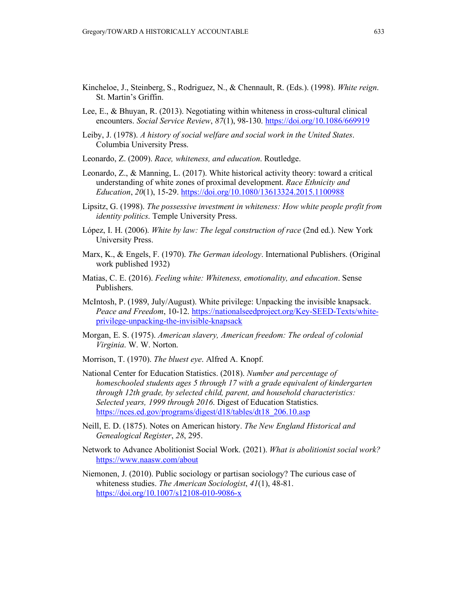- Kincheloe, J., Steinberg, S., Rodriguez, N., & Chennault, R. (Eds.). (1998). *White reign*. St. Martin's Griffin.
- Lee, E., & Bhuyan, R. (2013). Negotiating within whiteness in cross-cultural clinical encounters. *Social Service Review*, *87*(1), 98-130.<https://doi.org/10.1086/669919>
- Leiby, J. (1978). *A history of social welfare and social work in the United States*. Columbia University Press.
- Leonardo, Z. (2009). *Race, whiteness, and education*. Routledge.
- Leonardo, Z., & Manning, L. (2017). White historical activity theory: toward a critical understanding of white zones of proximal development. *Race Ethnicity and Education*, *20*(1), 15-29.<https://doi.org/10.1080/13613324.2015.1100988>
- Lipsitz, G. (1998). *The possessive investment in whiteness: How white people profit from identity politics*. Temple University Press.
- López, I. H. (2006). *White by law: The legal construction of race* (2nd ed.). New York University Press.
- Marx, K., & Engels, F. (1970). *The German ideology*. International Publishers. (Original work published 1932)
- Matias, C. E. (2016). *Feeling white: Whiteness, emotionality, and education*. Sense Publishers.
- McIntosh, P. (1989, July/August). White privilege: Unpacking the invisible knapsack. *Peace and Freedom*, 10-12. [https://nationalseedproject.org/Key-SEED-Texts/white](https://nationalseedproject.org/Key-SEED-Texts/white-privilege-unpacking-the-invisible-knapsack)[privilege-unpacking-the-invisible-knapsack](https://nationalseedproject.org/Key-SEED-Texts/white-privilege-unpacking-the-invisible-knapsack)
- Morgan, E. S. (1975). *American slavery, American freedom: The ordeal of colonial Virginia*. W. W. Norton.
- Morrison, T. (1970). *The bluest eye*. Alfred A. Knopf.
- National Center for Education Statistics. (2018). *Number and percentage of homeschooled students ages 5 through 17 with a grade equivalent of kindergarten through 12th grade, by selected child, parent, and household characteristics: Selected years, 1999 through 2016*. Digest of Education Statistics. [https://nces.ed.gov/programs/digest/d18/tables/dt18\\_206.10.asp](https://nces.ed.gov/programs/digest/d18/tables/dt18_206.10.asp)
- Neill, E. D. (1875). Notes on American history. *The New England Historical and Genealogical Register*, *28*, 295.
- Network to Advance Abolitionist Social Work. (2021). *What is abolitionist social work?* <https://www.naasw.com/about>
- Niemonen, J. (2010). Public sociology or partisan sociology? The curious case of whiteness studies. *The American Sociologist*, *41*(1), 48-81. <https://doi.org/10.1007/s12108-010-9086-x>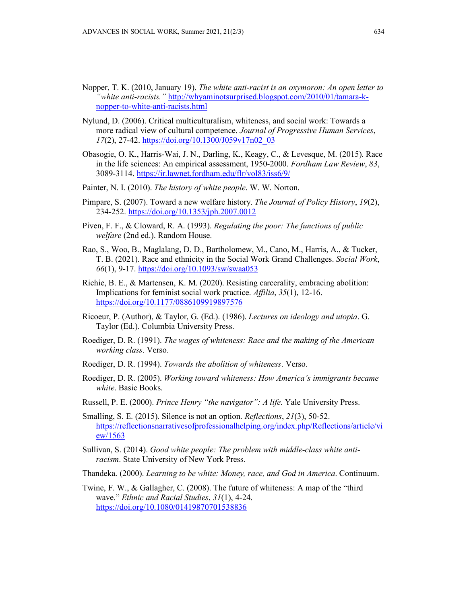- Nopper, T. K. (2010, January 19). *The white anti-racist is an oxymoron: An open letter to "white anti-racists."* [http://whyaminotsurprised.blogspot.com/2010/01/tamara-k](http://whyaminotsurprised.blogspot.com/2010/01/tamara-k-nopper-to-white-anti-racists.html)[nopper-to-white-anti-racists.html](http://whyaminotsurprised.blogspot.com/2010/01/tamara-k-nopper-to-white-anti-racists.html)
- Nylund, D. (2006). Critical multiculturalism, whiteness, and social work: Towards a more radical view of cultural competence. *Journal of Progressive Human Services*, *17*(2), 27-42. [https://doi.org/10.1300/J059v17n02\\_03](https://doi.org/10.1300/J059v17n02_03)
- Obasogie, O. K., Harris-Wai, J. N., Darling, K., Keagy, C., & Levesque, M. (2015). Race in the life sciences: An empirical assessment, 1950-2000. *Fordham Law Review*, *83*, 3089-3114.<https://ir.lawnet.fordham.edu/flr/vol83/iss6/9/>
- Painter, N. I. (2010). *The history of white people*. W. W. Norton.
- Pimpare, S. (2007). Toward a new welfare history. *The Journal of Policy History*, *19*(2), 234-252.<https://doi.org/10.1353/jph.2007.0012>
- Piven, F. F., & Cloward, R. A. (1993). *Regulating the poor: The functions of public welfare* (2nd ed.). Random House.
- Rao, S., Woo, B., Maglalang, D. D., Bartholomew, M., Cano, M., Harris, A., & Tucker, T. B. (2021). Race and ethnicity in the Social Work Grand Challenges. *Social Work*, *66*(1), 9-17.<https://doi.org/10.1093/sw/swaa053>
- Richie, B. E., & Martensen, K. M. (2020). Resisting carcerality, embracing abolition: Implications for feminist social work practice. *Affilia*, *35*(1), 12-16. <https://doi.org/10.1177/0886109919897576>
- Ricoeur, P. (Author), & Taylor, G. (Ed.). (1986). *Lectures on ideology and utopia*. G. Taylor (Ed.). Columbia University Press.
- Roediger, D. R. (1991). *The wages of whiteness: Race and the making of the American working class*. Verso.
- Roediger, D. R. (1994). *Towards the abolition of whiteness*. Verso.
- Roediger, D. R. (2005). *Working toward whiteness: How America's immigrants became white*. Basic Books.
- Russell, P. E. (2000). *Prince Henry "the navigator": A life*. Yale University Press.
- Smalling, S. E. (2015). Silence is not an option. *Reflections*, *21*(3), 50-52. [https://reflectionsnarrativesofprofessionalhelping.org/index.php/Reflections/article/vi](https://reflectionsnarrativesofprofessionalhelping.org/index.php/Reflections/article/view/1563) [ew/1563](https://reflectionsnarrativesofprofessionalhelping.org/index.php/Reflections/article/view/1563)
- Sullivan, S. (2014). *Good white people: The problem with middle-class white antiracism*. State University of New York Press.
- Thandeka. (2000). *Learning to be white: Money, race, and God in America*. Continuum.
- Twine, F. W., & Gallagher, C. (2008). The future of whiteness: A map of the "third wave." *Ethnic and Racial Studies*, *31*(1), 4-24. <https://doi.org/10.1080/01419870701538836>